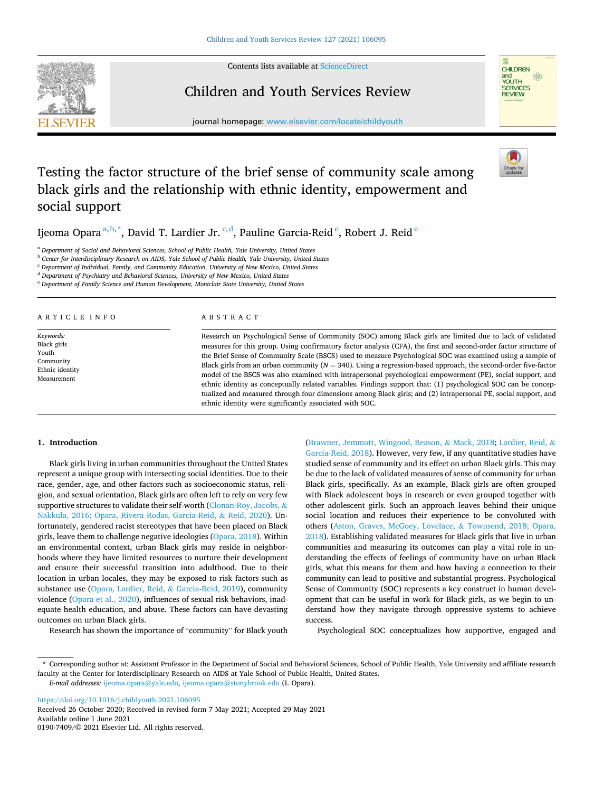Contents lists available at [ScienceDirect](www.sciencedirect.com/science/journal/01907409)



# **CHILDREN** CHILDRE<br>and<br>YOUTH  $\frac{1}{2}$ SERVICES **REVIEW**

# Children and Youth Services Review

journal homepage: [www.elsevier.com/locate/childyouth](https://www.elsevier.com/locate/childyouth)

# Testing the factor structure of the brief sense of community scale among black girls and the relationship with ethnic identity, empowerment and social support

Ijeoma Opara $^{\mathrm{a,b},\mathrm{*}},$  David T. Lardier Jr.  $^{\mathrm{c,d}}$ , Pauline Garcia-Reid $^{\mathrm{e}}$ , Robert J. Reid $^{\mathrm{e}}$ 

<sup>a</sup> *Department of Social and Behavioral Sciences, School of Public Health, Yale University, United States* 

<sup>b</sup> *Center for Interdisciplinary Research on AIDS, Yale School of Public Health, Yale University, United States* 

<sup>c</sup> *Department of Individual, Family, and Community Education, University of New Mexico, United States* 

<sup>d</sup> *Department of Psychiatry and Behavioral Sciences, University of New Mexico, United States* 

<sup>e</sup> *Department of Family Science and Human Development, Montclair State University, United States* 

ARTICLE INFO

*Keywords:*  Black girls Youth Community Ethnic identity Measurement

# ABSTRACT

Research on Psychological Sense of Community (SOC) among Black girls are limited due to lack of validated measures for this group. Using confirmatory factor analysis (CFA), the first and second-order factor structure of the Brief Sense of Community Scale (BSCS) used to measure Psychological SOC was examined using a sample of Black girls from an urban community (*N* = 340). Using a regression-based approach, the second-order five-factor model of the BSCS was also examined with intrapersonal psychological empowerment (PE), social support, and ethnic identity as conceptually related variables. Findings support that: (1) psychological SOC can be conceptualized and measured through four dimensions among Black girls; and (2) intrapersonal PE, social support, and ethnic identity were significantly associated with SOC.

# **1. Introduction**

Black girls living in urban communities throughout the United States represent a unique group with intersecting social identities. Due to their race, gender, age, and other factors such as socioeconomic status, religion, and sexual orientation, Black girls are often left to rely on very few supportive structures to validate their self-worth [\(Clonan-Roy, Jacobs,](#page-5-0) & [Nakkula, 2016; Opara, Rivera Rodas, Garcia-Reid,](#page-5-0) & Reid, 2020). Unfortunately, gendered racist stereotypes that have been placed on Black girls, leave them to challenge negative ideologies ([Opara, 2018](#page-5-0)). Within an environmental context, urban Black girls may reside in neighborhoods where they have limited resources to nurture their development and ensure their successful transition into adulthood. Due to their location in urban locales, they may be exposed to risk factors such as substance use [\(Opara, Lardier, Reid,](#page-5-0) & Garcia-Reid, 2019), community violence [\(Opara et al., 2020\)](#page-5-0), influences of sexual risk behaviors, inadequate health education, and abuse. These factors can have devasting outcomes on urban Black girls.

Research has shown the importance of "community" for Black youth

([Brawner, Jemmott, Wingood, Reason,](#page-5-0) & Mack, 2018; [Lardier, Reid,](#page-5-0) & [Garcia-Reid, 2018](#page-5-0)). However, very few, if any quantitative studies have studied sense of community and its effect on urban Black girls. This may be due to the lack of validated measures of sense of community for urban Black girls, specifically. As an example, Black girls are often grouped with Black adolescent boys in research or even grouped together with other adolescent girls. Such an approach leaves behind their unique social location and reduces their experience to be convoluted with others ([Aston, Graves, McGoey, Lovelace,](#page-5-0) & Townsend, 2018; Opara, [2018\)](#page-5-0). Establishing validated measures for Black girls that live in urban communities and measuring its outcomes can play a vital role in understanding the effects of feelings of community have on urban Black girls, what this means for them and how having a connection to their community can lead to positive and substantial progress. Psychological Sense of Community (SOC) represents a key construct in human development that can be useful in work for Black girls, as we begin to understand how they navigate through oppressive systems to achieve success.

Psychological SOC conceptualizes how supportive, engaged and

<https://doi.org/10.1016/j.childyouth.2021.106095>

Available online 1 June 2021 0190-7409/© 2021 Elsevier Ltd. All rights reserved. Received 26 October 2020; Received in revised form 7 May 2021; Accepted 29 May 2021

<sup>\*</sup> Corresponding author at: Assistant Professor in the Department of Social and Behavioral Sciences, School of Public Health, Yale University and affiliate research faculty at the Center for Interdisciplinary Research on AIDS at Yale School of Public Health, United States.

*E-mail addresses:* [ijeoma.opara@yale.edu,](mailto:ijeoma.opara@yale.edu) [ijeoma.opara@stonybrook.edu](mailto:ijeoma.opara@stonybrook.edu) (I. Opara).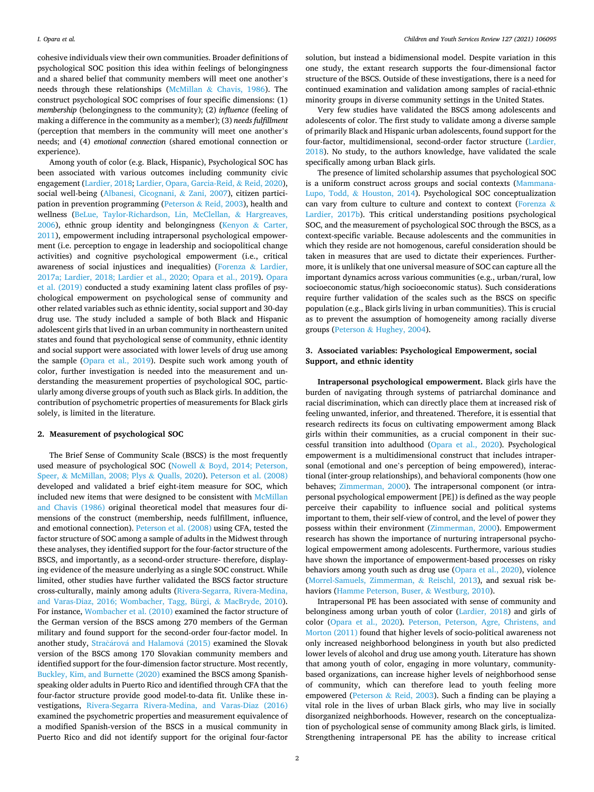cohesive individuals view their own communities. Broader definitions of psychological SOC position this idea within feelings of belongingness and a shared belief that community members will meet one another's needs through these relationships (McMillan & [Chavis, 1986\)](#page-5-0). The construct psychological SOC comprises of four specific dimensions: (1) *membership* (belongingness to the community); (2) *influence* (feeling of making a difference in the community as a member); (3) *needs fulfillment*  (perception that members in the community will meet one another's needs; and (4) *emotional connection* (shared emotional connection or experience).

Among youth of color (e.g. Black, Hispanic), Psychological SOC has been associated with various outcomes including community civic engagement [\(Lardier, 2018; Lardier, Opara, Garcia-Reid,](#page-5-0) & Reid, 2020), social well-being ([Albanesi, Cicognani,](#page-5-0) & Zani, 2007), citizen participation in prevention programming (Peterson & [Reid, 2003\)](#page-5-0), health and wellness ([BeLue, Taylor-Richardson, Lin, McClellan,](#page-5-0) & Hargreaves,  $2006$ ), ethnic group identity and belongingness ([Kenyon](#page-5-0) & Carter, [2011\)](#page-5-0), empowerment including intrapersonal psychological empowerment (i.e. perception to engage in leadership and sociopolitical change activities) and cognitive psychological empowerment (i.e., critical awareness of social injustices and inequalities) ([Forenza](#page-5-0) & Lardier, [2017a; Lardier, 2018; Lardier et al., 2020; Opara et al., 2019](#page-5-0)). [Opara](#page-5-0)  [et al. \(2019\)](#page-5-0) conducted a study examining latent class profiles of psychological empowerment on psychological sense of community and other related variables such as ethnic identity, social support and 30-day drug use. The study included a sample of both Black and Hispanic adolescent girls that lived in an urban community in northeastern united states and found that psychological sense of community, ethnic identity and social support were associated with lower levels of drug use among the sample ([Opara et al., 2019](#page-5-0)). Despite such work among youth of color, further investigation is needed into the measurement and understanding the measurement properties of psychological SOC, particularly among diverse groups of youth such as Black girls. In addition, the contribution of psychometric properties of measurements for Black girls solely, is limited in the literature.

#### **2. Measurement of psychological SOC**

The Brief Sense of Community Scale (BSCS) is the most frequently used measure of psychological SOC (Nowell & [Boyd, 2014; Peterson,](#page-5-0)  Speer, & [McMillan, 2008; Plys](#page-5-0) & Qualls, 2020). [Peterson et al. \(2008\)](#page-5-0)  developed and validated a brief eight-item measure for SOC, which included new items that were designed to be consistent with [McMillan](#page-5-0)  [and Chavis \(1986\)](#page-5-0) original theoretical model that measures four dimensions of the construct (membership, needs fulfillment, influence, and emotional connection). [Peterson et al. \(2008\)](#page-5-0) using CFA, tested the factor structure of SOC among a sample of adults in the Midwest through these analyses, they identified support for the four-factor structure of the BSCS, and importantly, as a second-order structure- therefore, displaying evidence of the measure underlying as a single SOC construct. While limited, other studies have further validated the BSCS factor structure cross-culturally, mainly among adults ([Rivera-Segarra, Rivera-Medina,](#page-6-0)  [and Varas-Diaz, 2016; Wombacher, Tagg, Bürgi,](#page-6-0) & MacBryde, 2010). For instance, [Wombacher et al. \(2010\)](#page-6-0) examined the factor structure of the German version of the BSCS among 270 members of the German military and found support for the second-order four-factor model. In another study, Stračárová and Halamová (2015) examined the Slovak version of the BSCS among 170 Slovakian community members and identified support for the four-dimension factor structure. Most recently, [Buckley, Kim, and Burnette \(2020\)](#page-5-0) examined the BSCS among Spanishspeaking older adults in Puerto Rico and identified through CFA that the four-factor structure provide good model-to-data fit. Unlike these investigations, [Rivera-Segarra Rivera-Medina, and Varas-Diaz \(2016\)](#page-6-0)  examined the psychometric properties and measurement equivalence of a modified Spanish-version of the BSCS in a musical community in Puerto Rico and did not identify support for the original four-factor

solution, but instead a bidimensional model. Despite variation in this one study, the extant research supports the four-dimensional factor structure of the BSCS. Outside of these investigations, there is a need for continued examination and validation among samples of racial-ethnic minority groups in diverse community settings in the United States.

Very few studies have validated the BSCS among adolescents and adolescents of color. The first study to validate among a diverse sample of primarily Black and Hispanic urban adolescents, found support for the four-factor, multidimensional, second-order factor structure [\(Lardier,](#page-5-0)  [2018\)](#page-5-0). No study, to the authors knowledge, have validated the scale specifically among urban Black girls.

The presence of limited scholarship assumes that psychological SOC is a uniform construct across groups and social contexts ([Mammana-](#page-5-0)Lupo, Todd, & [Houston, 2014\)](#page-5-0). Psychological SOC conceptualization can vary from culture to culture and context to context ([Forenza](#page-5-0) & [Lardier, 2017b\)](#page-5-0). This critical understanding positions psychological SOC, and the measurement of psychological SOC through the BSCS, as a context-specific variable. Because adolescents and the communities in which they reside are not homogenous, careful consideration should be taken in measures that are used to dictate their experiences. Furthermore, it is unlikely that one universal measure of SOC can capture all the important dynamics across various communities (e.g., urban/rural, low socioeconomic status/high socioeconomic status). Such considerations require further validation of the scales such as the BSCS on specific population (e.g., Black girls living in urban communities). This is crucial as to prevent the assumption of homogeneity among racially diverse groups (Peterson & [Hughey, 2004\)](#page-5-0).

# **3. Associated variables: Psychological Empowerment, social Support, and ethnic identity**

**Intrapersonal psychological empowerment.** Black girls have the burden of navigating through systems of patriarchal dominance and racial discrimination, which can directly place them at increased risk of feeling unwanted, inferior, and threatened. Therefore, it is essential that research redirects its focus on cultivating empowerment among Black girls within their communities, as a crucial component in their successful transition into adulthood [\(Opara et al., 2020\)](#page-5-0). Psychological empowerment is a multidimensional construct that includes intrapersonal (emotional and one's perception of being empowered), interactional (inter-group relationships), and behavioral components (how one behaves; [Zimmerman, 2000\)](#page-6-0). The intrapersonal component (or intrapersonal psychological empowerment [PE]) is defined as the way people perceive their capability to influence social and political systems important to them, their self-view of control, and the level of power they possess within their environment ([Zimmerman, 2000\)](#page-6-0). Empowerment research has shown the importance of nurturing intrapersonal psychological empowerment among adolescents. Furthermore, various studies have shown the importance of empowerment-based processes on risky behaviors among youth such as drug use [\(Opara et al., 2020\)](#page-5-0), violence ([Morrel-Samuels, Zimmerman,](#page-5-0) & Reischl, 2013), and sexual risk behaviors ([Hamme Peterson, Buser,](#page-5-0) & Westburg, 2010).

Intrapersonal PE has been associated with sense of community and belonginess among urban youth of color [\(Lardier, 2018](#page-5-0)) and girls of color [\(Opara et al., 2020\)](#page-5-0). [Peterson, Peterson, Agre, Christens, and](#page-5-0)  [Morton \(2011\)](#page-5-0) found that higher levels of socio-political awareness not only increased neighborhood belonginess in youth but also predicted lower levels of alcohol and drug use among youth. Literature has shown that among youth of color, engaging in more voluntary, communitybased organizations, can increase higher levels of neighborhood sense of community, which can therefore lead to youth feeling more empowered (Peterson & [Reid, 2003](#page-5-0)). Such a finding can be playing a vital role in the lives of urban Black girls, who may live in socially disorganized neighborhoods. However, research on the conceptualization of psychological sense of community among Black girls, is limited. Strengthening intrapersonal PE has the ability to increase critical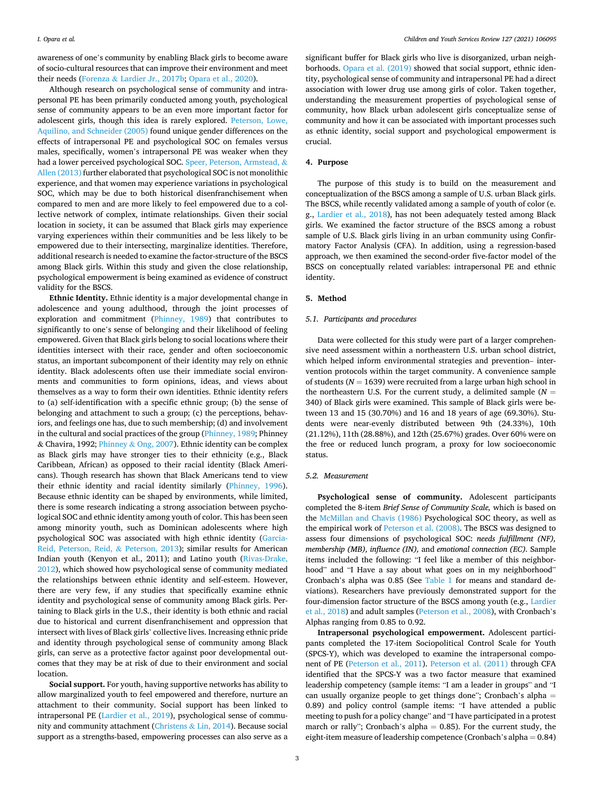awareness of one's community by enabling Black girls to become aware of socio-cultural resources that can improve their environment and meet their needs (Forenza & [Lardier Jr., 2017b;](#page-5-0) [Opara et al., 2020\)](#page-5-0).

Although research on psychological sense of community and intrapersonal PE has been primarily conducted among youth, psychological sense of community appears to be an even more important factor for adolescent girls, though this idea is rarely explored. [Peterson, Lowe,](#page-5-0)  [Aquilino, and Schneider \(2005\)](#page-5-0) found unique gender differences on the effects of intrapersonal PE and psychological SOC on females versus males, specifically, women's intrapersonal PE was weaker when they had a lower perceived psychological SOC. [Speer, Peterson, Armstead,](#page-6-0) & [Allen \(2013\)](#page-6-0) further elaborated that psychological SOC is not monolithic experience, and that women may experience variations in psychological SOC, which may be due to both historical disenfranchisement when compared to men and are more likely to feel empowered due to a collective network of complex, intimate relationships. Given their social location in society, it can be assumed that Black girls may experience varying experiences within their communities and be less likely to be empowered due to their intersecting, marginalize identities. Therefore, additional research is needed to examine the factor-structure of the BSCS among Black girls. Within this study and given the close relationship, psychological empowerment is being examined as evidence of construct validity for the BSCS.

**Ethnic Identity.** Ethnic identity is a major developmental change in adolescence and young adulthood, through the joint processes of exploration and commitment ([Phinney, 1989\)](#page-6-0) that contributes to significantly to one's sense of belonging and their likelihood of feeling empowered. Given that Black girls belong to social locations where their identities intersect with their race, gender and often socioeconomic status, an important subcomponent of their identity may rely on ethnic identity. Black adolescents often use their immediate social environments and communities to form opinions, ideas, and views about themselves as a way to form their own identities. Ethnic identity refers to (a) self-identification with a specific ethnic group; (b) the sense of belonging and attachment to such a group; (c) the perceptions, behaviors, and feelings one has, due to such membership; (d) and involvement in the cultural and social practices of the group [\(Phinney, 1989;](#page-6-0) Phinney & Chavira, 1992; Phinney & [Ong, 2007](#page-6-0)). Ethnic identity can be complex as Black girls may have stronger ties to their ethnicity (e.g., Black Caribbean, African) as opposed to their racial identity (Black Americans). Though research has shown that Black Americans tend to view their ethnic identity and racial identity similarly ([Phinney, 1996](#page-5-0)). Because ethnic identity can be shaped by environments, while limited, there is some research indicating a strong association between psychological SOC and ethnic identity among youth of color. This has been seen among minority youth, such as Dominican adolescents where high psychological SOC was associated with high ethnic identity [\(Garcia-](#page-5-0)[Reid, Peterson, Reid,](#page-5-0) & Peterson, 2013); similar results for American Indian youth (Kenyon et al., 2011); and Latino youth ([Rivas-Drake,](#page-6-0)  [2012\)](#page-6-0), which showed how psychological sense of community mediated the relationships between ethnic identity and self-esteem. However, there are very few, if any studies that specifically examine ethnic identity and psychological sense of community among Black girls. Pertaining to Black girls in the U.S., their identity is both ethnic and racial due to historical and current disenfranchisement and oppression that intersect with lives of Black girls' collective lives. Increasing ethnic pride and identity through psychological sense of community among Black girls, can serve as a protective factor against poor developmental outcomes that they may be at risk of due to their environment and social location.

**Social support.** For youth, having supportive networks has ability to allow marginalized youth to feel empowered and therefore, nurture an attachment to their community. Social support has been linked to intrapersonal PE ([Lardier et al., 2019\)](#page-5-0), psychological sense of community and community attachment [\(Christens](#page-5-0) & Lin, 2014). Because social support as a strengths-based, empowering processes can also serve as a

significant buffer for Black girls who live is disorganized, urban neighborhoods. [Opara et al. \(2019\)](#page-5-0) showed that social support, ethnic identity, psychological sense of community and intrapersonal PE had a direct association with lower drug use among girls of color. Taken together, understanding the measurement properties of psychological sense of community, how Black urban adolescent girls conceptualize sense of community and how it can be associated with important processes such as ethnic identity, social support and psychological empowerment is crucial.

## **4. Purpose**

The purpose of this study is to build on the measurement and conceptualization of the BSCS among a sample of U.S. urban Black girls. The BSCS, while recently validated among a sample of youth of color (e. g., [Lardier et al., 2018](#page-5-0)), has not been adequately tested among Black girls. We examined the factor structure of the BSCS among a robust sample of U.S. Black girls living in an urban community using Confirmatory Factor Analysis (CFA). In addition, using a regression-based approach, we then examined the second-order five-factor model of the BSCS on conceptually related variables: intrapersonal PE and ethnic identity.

# **5. Method**

# *5.1. Participants and procedures*

Data were collected for this study were part of a larger comprehensive need assessment within a northeastern U.S. urban school district, which helped inform environmental strategies and prevention– intervention protocols within the target community. A convenience sample of students ( $N = 1639$ ) were recruited from a large urban high school in the northeastern U.S. For the current study, a delimited sample  $(N =$ 340) of Black girls were examined. This sample of Black girls were between 13 and 15 (30.70%) and 16 and 18 years of age (69.30%). Students were near-evenly distributed between 9th (24.33%), 10th (21.12%), 11th (28.88%), and 12th (25.67%) grades. Over 60% were on the free or reduced lunch program, a proxy for low socioeconomic status.

# *5.2. Measurement*

**Psychological sense of community.** Adolescent participants completed the 8-item *Brief Sense of Community Scale,* which is based on the [McMillan and Chavis \(1986\)](#page-5-0) Psychological SOC theory, as well as the empirical work of [Peterson et al. \(2008\)](#page-5-0). The BSCS was designed to assess four dimensions of psychological SOC: *needs fulfillment (NF), membership (MB), influence (IN),* and *emotional connection (EC).* Sample items included the following: "I feel like a member of this neighborhood" and "I Have a say about what goes on in my neighborhood" Cronbach's alpha was 0.85 (See [Table 1](#page-3-0) for means and standard deviations). Researchers have previously demonstrated support for the four-dimension factor structure of the BSCS among youth (e.g., [Lardier](#page-5-0)  [et al., 2018](#page-5-0)) and adult samples [\(Peterson et al., 2008\)](#page-5-0), with Cronbach's Alphas ranging from 0.85 to 0.92.

**Intrapersonal psychological empowerment.** Adolescent participants completed the 17-item Sociopolitical Control Scale for Youth (SPCS-Y), which was developed to examine the intrapersonal component of PE ([Peterson et al., 2011\)](#page-5-0). [Peterson et al. \(2011\)](#page-5-0) through CFA identified that the SPCS-Y was a two factor measure that examined leadership competency (sample items: "I am a leader in groups" and "I can usually organize people to get things done"; Cronbach's alpha = 0.89) and policy control (sample items: "I have attended a public meeting to push for a policy change" and "I have participated in a protest march or rally"; Cronbach's alpha  $= 0.85$ ). For the current study, the eight-item measure of leadership competence (Cronbach's alpha = 0.84)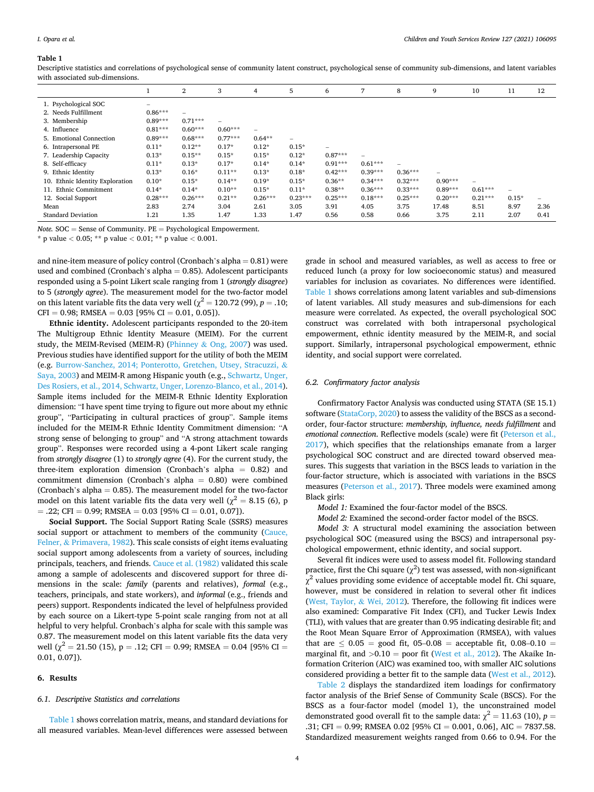#### <span id="page-3-0"></span>**Table 1**

Descriptive statistics and correlations of psychological sense of community latent construct, psychological sense of community sub-dimensions, and latent variables with associated sub-dimensions.

|                                 |           | 2         | 3                        | 4         | 5               | 6                        |           | 8                        | 9                        | 10        | 11                              | 12                       |
|---------------------------------|-----------|-----------|--------------------------|-----------|-----------------|--------------------------|-----------|--------------------------|--------------------------|-----------|---------------------------------|--------------------------|
| 1. Psychological SOC            |           |           |                          |           |                 |                          |           |                          |                          |           |                                 |                          |
| 2. Needs Fulfillment            | $0.86***$ |           |                          |           |                 |                          |           |                          |                          |           |                                 |                          |
| 3. Membership                   | $0.89***$ | $0.71***$ | $\overline{\phantom{0}}$ |           |                 |                          |           |                          |                          |           |                                 |                          |
| 4. Influence                    | $0.81***$ | $0.60***$ | $0.60***$                | ۳         |                 |                          |           |                          |                          |           |                                 |                          |
| 5. Emotional Connection         | $0.89***$ | $0.68***$ | $0.77***$                | $0.64**$  | $\qquad \qquad$ |                          |           |                          |                          |           |                                 |                          |
| 6. Intrapersonal PE             | $0.11*$   | $0.12**$  | $0.17*$                  | $0.12*$   | $0.15*$         | $\overline{\phantom{a}}$ |           |                          |                          |           |                                 |                          |
| 7. Leadership Capacity          | $0.13*$   | $0.15**$  | $0.15*$                  | $0.15*$   | $0.12*$         | $0.87***$                |           |                          |                          |           |                                 |                          |
| 8. Self-efficacy                | $0.11*$   | $0.13*$   | $0.17*$                  | $0.14*$   | $0.14*$         | $0.91***$                | $0.61***$ | $\overline{\phantom{0}}$ |                          |           |                                 |                          |
| 9. Ethnic Identity              | $0.13*$   | $0.16*$   | $0.11**$                 | $0.13*$   | $0.18*$         | $0.42***$                | $0.39***$ | $0.36***$                | $\overline{\phantom{a}}$ |           |                                 |                          |
| 10. Ethnic Identity Exploration | $0.10*$   | $0.15*$   | $0.14**$                 | $0.19*$   | $0.15*$         | $0.36**$                 | $0.34***$ | $0.32***$                | $0.90***$                | -         |                                 |                          |
| 11. Ethnic Commitment           | $0.14*$   | $0.14*$   | $0.10**$                 | $0.15*$   | $0.11*$         | $0.38**$                 | $0.36***$ | $0.33***$                | $0.89***$                | $0.61***$ | $\hspace{0.1mm}-\hspace{0.1mm}$ |                          |
| 12. Social Support              | $0.28***$ | $0.26***$ | $0.21**$                 | $0.26***$ | $0.23***$       | $0.25***$                | $0.18***$ | $0.25***$                | $0.20***$                | $0.21***$ | $0.15*$                         | $\overline{\phantom{a}}$ |
| Mean                            | 2.83      | 2.74      | 3.04                     | 2.61      | 3.05            | 3.91                     | 4.05      | 3.75                     | 17.48                    | 8.51      | 8.97                            | 2.36                     |
| <b>Standard Deviation</b>       | 1.21      | 1.35      | 1.47                     | 1.33      | 1.47            | 0.56                     | 0.58      | 0.66                     | 3.75                     | 2.11      | 2.07                            | 0.41                     |

*Note.* SOC = Sense of Community. PE = Psychological Empowerment.

\* p value *<* 0.05; \*\* p value *<* 0.01; \*\* p value *<* 0.001.

and nine-item measure of policy control (Cronbach's alpha  $= 0.81$ ) were used and combined (Cronbach's alpha  $= 0.85$ ). Adolescent participants responded using a 5-point Likert scale ranging from 1 (*strongly disagree*) to 5 (*strongly agree*). The measurement model for the two-factor model on this latent variable fits the data very well ( $\chi^2 = 120.72$  (99), *p* = .10;  $CFI = 0.98$ ; RMSEA = 0.03 [95% CI = 0.01, 0.05]).

**Ethnic identity.** Adolescent participants responded to the 20-item The Multigroup Ethnic Identity Measure (MEIM). For the current study, the MEIM-Revised (MEIM-R) (Phinney & [Ong, 2007](#page-6-0)) was used. Previous studies have identified support for the utility of both the MEIM (e.g. [Burrow-Sanchez, 2014; Ponterotto, Gretchen, Utsey, Stracuzzi,](#page-5-0) & [Saya, 2003](#page-5-0)) and MEIM-R among Hispanic youth (e.g., [Schwartz, Unger,](#page-6-0)  [Des Rosiers, et al., 2014, Schwartz, Unger, Lorenzo-Blanco, et al., 2014](#page-6-0)). Sample items included for the MEIM-R Ethnic Identity Exploration dimension: "I have spent time trying to figure out more about my ethnic group", "Participating in cultural practices of group". Sample items included for the MEIM-R Ethnic Identity Commitment dimension: "A strong sense of belonging to group" and "A strong attachment towards group". Responses were recorded using a 4-pont Likert scale ranging from *strongly disagree* (1) to *strongly agree* (4). For the current study, the three-item exploration dimension (Cronbach's alpha  $= 0.82$ ) and commitment dimension (Cronbach's alpha = 0.80) were combined (Cronbach's alpha  $= 0.85$ ). The measurement model for the two-factor model on this latent variable fits the data very well ( $\chi^2 = 8.15$  (6), p  $=$  .22; CFI = 0.99; RMSEA = 0.03 [95% CI = 0.01, 0.07]).

**Social Support.** The Social Support Rating Scale (SSRS) measures social support or attachment to members of the community [\(Cauce,](#page-5-0)  Felner, & [Primavera, 1982](#page-5-0)). This scale consists of eight items evaluating social support among adolescents from a variety of sources, including principals, teachers, and friends. [Cauce et al. \(1982\)](#page-5-0) validated this scale among a sample of adolescents and discovered support for three dimensions in the scale: *family* (parents and relatives), *formal* (e.g., teachers, principals, and state workers), and *informal* (e.g., friends and peers) support. Respondents indicated the level of helpfulness provided by each source on a Likert-type 5-point scale ranging from not at all helpful to very helpful. Cronbach's alpha for scale with this sample was 0.87. The measurement model on this latent variable fits the data very well ( $\chi^2$  = 21.50 (15), p = .12; CFI = 0.99; RMSEA = 0.04 [95% CI = 0.01, 0.07]).

# **6. Results**

#### *6.1. Descriptive Statistics and correlations*

Table 1 shows correlation matrix, means, and standard deviations for all measured variables. Mean-level differences were assessed between grade in school and measured variables, as well as access to free or reduced lunch (a proxy for low socioeconomic status) and measured variables for inclusion as covariates. No differences were identified. Table 1 shows correlations among latent variables and sub-dimensions of latent variables. All study measures and sub-dimensions for each measure were correlated. As expected, the overall psychological SOC construct was correlated with both intrapersonal psychological empowerment, ethnic identity measured by the MEIM-R, and social support. Similarly, intrapersonal psychological empowerment, ethnic identity, and social support were correlated.

# *6.2. Confirmatory factor analysis*

Confirmatory Factor Analysis was conducted using STATA (SE 15.1) software [\(StataCorp, 2020\)](#page-6-0) to assess the validity of the BSCS as a secondorder, four-factor structure: *membership, influence, needs fulfillment* and *emotional connection*. Reflective models (scale) were fit [\(Peterson et al.,](#page-5-0)  [2017\)](#page-5-0), which specifies that the relationships emanate from a larger psychological SOC construct and are directed toward observed measures. This suggests that variation in the BSCS leads to variation in the four-factor structure, which is associated with variations in the BSCS measures ([Peterson et al., 2017\)](#page-5-0). Three models were examined among Black girls:

*Model 1:* Examined the four-factor model of the BSCS.

*Model 2:* Examined the second-order factor model of the BSCS.

*Model 3:* A structural model examining the association between psychological SOC (measured using the BSCS) and intrapersonal psychological empowerment, ethnic identity, and social support.

Several fit indices were used to assess model fit. Following standard practice, first the Chi square  $(\chi^2)$  test was assessed, with non-significant  $\chi^2$  values providing some evidence of acceptable model fit. Chi square, however, must be considered in relation to several other fit indices ([West, Taylor,](#page-6-0) & Wei, 2012). Therefore, the following fit indices were also examined: Comparative Fit Index (CFI), and Tucker Lewis Index (TLI), with values that are greater than 0.95 indicating desirable fit; and the Root Mean Square Error of Approximation (RMSEA), with values that are  $\leq$  0.05 = good fit, 05–0.08 = acceptable fit, 0.08–0.10 = marginal fit, and  $>0.10$  = poor fit ([West et al., 2012\)](#page-6-0). The Akaike Information Criterion (AIC) was examined too, with smaller AIC solutions considered providing a better fit to the sample data ([West et al., 2012](#page-6-0)).

[Table 2](#page-4-0) displays the standardized item loadings for confirmatory factor analysis of the Brief Sense of Community Scale (BSCS). For the BSCS as a four-factor model (model 1), the unconstrained model demonstrated good overall fit to the sample data:  $\chi^2 = 11.63$  (10),  $p =$ .31; CFI = 0.99; RMSEA 0.02 [95% CI = 0.001, 0.06], AIC = 7837.58. Standardized measurement weights ranged from 0.66 to 0.94. For the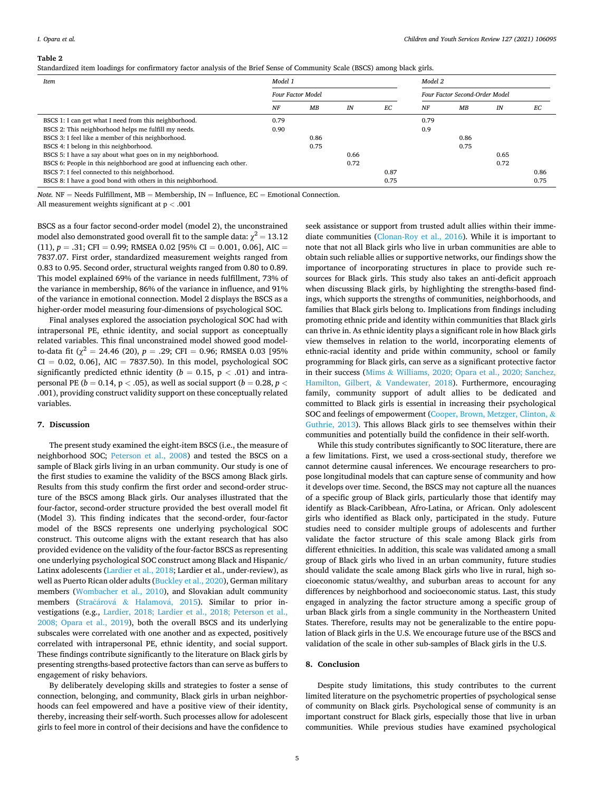#### <span id="page-4-0"></span>**Table 2**

Standardized item loadings for confirmatory factor analysis of the Brief Sense of Community Scale (BSCS) among black girls.

| Item                                                                    | Model 1                  |      |      |                                | Model 2 |      |      |      |  |
|-------------------------------------------------------------------------|--------------------------|------|------|--------------------------------|---------|------|------|------|--|
|                                                                         | <b>Four Factor Model</b> |      |      | Four Factor Second-Order Model |         |      |      |      |  |
|                                                                         | NF                       | MВ   | IN   | EC                             | NF      | MB   | IN   | EС   |  |
| BSCS 1: I can get what I need from this neighborhood.                   | 0.79                     |      |      |                                | 0.79    |      |      |      |  |
| BSCS 2: This neighborhood helps me fulfill my needs.                    | 0.90                     |      |      |                                | 0.9     |      |      |      |  |
| BSCS 3: I feel like a member of this neighborhood.                      |                          | 0.86 |      |                                |         | 0.86 |      |      |  |
| BSCS 4: I belong in this neighborhood.                                  |                          | 0.75 |      |                                |         | 0.75 |      |      |  |
| BSCS 5: I have a say about what goes on in my neighborhood.             |                          |      | 0.66 |                                |         |      | 0.65 |      |  |
| BSCS 6: People in this neighborhood are good at influencing each other. |                          |      | 0.72 |                                |         |      | 0.72 |      |  |
| BSCS 7: I feel connected to this neighborhood.                          |                          |      |      | 0.87                           |         |      |      | 0.86 |  |
| BSCS 8: I have a good bond with others in this neighborhood.            |                          |      |      | 0.75                           |         |      |      | 0.75 |  |

*Note.*  $NF =$  Needs Fulfillment,  $MB =$  Membership,  $IN =$  Influence,  $EC =$  Emotional Connection.

All measurement weights significant at p *<* .001

BSCS as a four factor second-order model (model 2), the unconstrained model also demonstrated good overall fit to the sample data:  $\chi^2 = 13.12$ (11),  $p = .31$ ; CFI = 0.99; RMSEA 0.02 [95% CI = 0.001, 0.06], AIC = 7837.07. First order, standardized measurement weights ranged from 0.83 to 0.95. Second order, structural weights ranged from 0.80 to 0.89. This model explained 69% of the variance in needs fulfillment, 73% of the variance in membership, 86% of the variance in influence, and 91% of the variance in emotional connection. Model 2 displays the BSCS as a higher-order model measuring four-dimensions of psychological SOC.

Final analyses explored the association psychological SOC had with intrapersonal PE, ethnic identity, and social support as conceptually related variables. This final unconstrained model showed good modelto-data fit ( $\chi^2$  = 24.46 (20),  $p = .29$ ; CFI = 0.96; RMSEA 0.03 [95%  $CI = 0.02, 0.06$ ],  $AIC = 7837.50$ ). In this model, psychological SOC significantly predicted ethnic identity ( $b = 0.15$ ,  $p < .01$ ) and intrapersonal PE (*b* = 0.14, p *<* .05), as well as social support (*b* = 0.28, *p <* .001), providing construct validity support on these conceptually related variables.

### **7. Discussion**

The present study examined the eight-item BSCS (i.e., the measure of neighborhood SOC; [Peterson et al., 2008\)](#page-5-0) and tested the BSCS on a sample of Black girls living in an urban community. Our study is one of the first studies to examine the validity of the BSCS among Black girls. Results from this study confirm the first order and second-order structure of the BSCS among Black girls. Our analyses illustrated that the four-factor, second-order structure provided the best overall model fit (Model 3). This finding indicates that the second-order, four-factor model of the BSCS represents one underlying psychological SOC construct. This outcome aligns with the extant research that has also provided evidence on the validity of the four-factor BSCS as representing one underlying psychological SOC construct among Black and Hispanic/ Latinx adolescents [\(Lardier et al., 2018;](#page-5-0) Lardier et al., under-review), as well as Puerto Rican older adults ([Buckley et al., 2020](#page-5-0)), German military members [\(Wombacher et al., 2010](#page-6-0)), and Slovakian adult community members (Stračárová & [Halamov](#page-6-0)á, 2015). Similar to prior investigations (e.g., [Lardier, 2018; Lardier et al., 2018; Peterson et al.,](#page-5-0)  [2008; Opara et al., 2019](#page-5-0)), both the overall BSCS and its underlying subscales were correlated with one another and as expected, positively correlated with intrapersonal PE, ethnic identity, and social support. These findings contribute significantly to the literature on Black girls by presenting strengths-based protective factors than can serve as buffers to engagement of risky behaviors.

By deliberately developing skills and strategies to foster a sense of connection, belonging, and community, Black girls in urban neighborhoods can feel empowered and have a positive view of their identity, thereby, increasing their self-worth. Such processes allow for adolescent girls to feel more in control of their decisions and have the confidence to

seek assistance or support from trusted adult allies within their immediate communities [\(Clonan-Roy et al., 2016\)](#page-5-0). While it is important to note that not all Black girls who live in urban communities are able to obtain such reliable allies or supportive networks, our findings show the importance of incorporating structures in place to provide such resources for Black girls. This study also takes an anti-deficit approach when discussing Black girls, by highlighting the strengths-based findings, which supports the strengths of communities, neighborhoods, and families that Black girls belong to. Implications from findings including promoting ethnic pride and identity within communities that Black girls can thrive in. As ethnic identity plays a significant role in how Black girls view themselves in relation to the world, incorporating elements of ethnic-racial identity and pride within community, school or family programming for Black girls, can serve as a significant protective factor in their success (Mims & [Williams, 2020; Opara et al., 2020; Sanchez,](#page-5-0)  [Hamilton, Gilbert,](#page-5-0) & Vandewater, 2018). Furthermore, encouraging family, community support of adult allies to be dedicated and committed to Black girls is essential in increasing their psychological SOC and feelings of empowerment [\(Cooper, Brown, Metzger, Clinton,](#page-5-0) & [Guthrie, 2013\)](#page-5-0). This allows Black girls to see themselves within their communities and potentially build the confidence in their self-worth.

While this study contributes significantly to SOC literature, there are a few limitations. First, we used a cross-sectional study, therefore we cannot determine causal inferences. We encourage researchers to propose longitudinal models that can capture sense of community and how it develops over time. Second, the BSCS may not capture all the nuances of a specific group of Black girls, particularly those that identify may identify as Black-Caribbean, Afro-Latina, or African. Only adolescent girls who identified as Black only, participated in the study. Future studies need to consider multiple groups of adolescents and further validate the factor structure of this scale among Black girls from different ethnicities. In addition, this scale was validated among a small group of Black girls who lived in an urban community, future studies should validate the scale among Black girls who live in rural, high socioeconomic status/wealthy, and suburban areas to account for any differences by neighborhood and socioeconomic status. Last, this study engaged in analyzing the factor structure among a specific group of urban Black girls from a single community in the Northeastern United States. Therefore, results may not be generalizable to the entire population of Black girls in the U.S. We encourage future use of the BSCS and validation of the scale in other sub-samples of Black girls in the U.S.

### **8. Conclusion**

Despite study limitations, this study contributes to the current limited literature on the psychometric properties of psychological sense of community on Black girls. Psychological sense of community is an important construct for Black girls, especially those that live in urban communities. While previous studies have examined psychological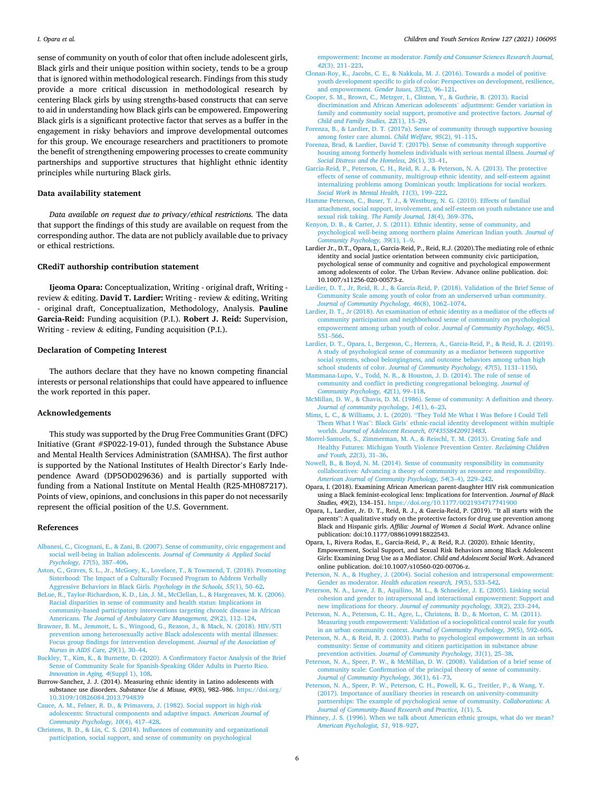<span id="page-5-0"></span>sense of community on youth of color that often include adolescent girls, Black girls and their unique position within society, tends to be a group that is ignored within methodological research. Findings from this study provide a more critical discussion in methodological research by centering Black girls by using strengths-based constructs that can serve to aid in understanding how Black girls can be empowered. Empowering Black girls is a significant protective factor that serves as a buffer in the engagement in risky behaviors and improve developmental outcomes for this group. We encourage researchers and practitioners to promote the benefit of strengthening empowering processes to create community partnerships and supportive structures that highlight ethnic identity principles while nurturing Black girls.

#### **Data availability statement**

*Data available on request due to privacy/ethical restrictions.* The data that support the findings of this study are available on request from the corresponding author. The data are not publicly available due to privacy or ethical restrictions.

#### **CRediT authorship contribution statement**

**Ijeoma Opara:** Conceptualization, Writing - original draft, Writing review & editing. **David T. Lardier:** Writing - review & editing, Writing - original draft, Conceptualization, Methodology, Analysis. **Pauline Garcia-Reid:** Funding acquisition (P.I.). **Robert J. Reid:** Supervision, Writing - review & editing, Funding acquisition (P.I.).

#### **Declaration of Competing Interest**

The authors declare that they have no known competing financial interests or personal relationships that could have appeared to influence the work reported in this paper.

#### **Acknowledgements**

This study was supported by the Drug Free Communities Grant (DFC) Initiative (Grant #SP022-19-01), funded through the Substance Abuse and Mental Health Services Administration (SAMHSA). The first author is supported by the National Institutes of Health Director's Early Independence Award (DP5OD029636) and is partially supported with funding from a National Institute on Mental Health (R25-MH087217). Points of view, opinions, and conclusions in this paper do not necessarily represent the official position of the U.S. Government.

#### **References**

- [Albanesi, C., Cicognani, E., & Zani, B. \(2007\). Sense of community, civic engagement and](http://refhub.elsevier.com/S0190-7409(21)00171-7/h9010)  [social well-being in Italian adolescents.](http://refhub.elsevier.com/S0190-7409(21)00171-7/h9010) *Journal of Community & Applied Social [Psychology, 17](http://refhub.elsevier.com/S0190-7409(21)00171-7/h9010)*(5), 387–406.
- [Aston, C., Graves, S. L., Jr., McGoey, K., Lovelace, T., & Townsend, T. \(2018\). Promoting](http://refhub.elsevier.com/S0190-7409(21)00171-7/h0005)  [Sisterhood: The Impact of a Culturally Focused Program to Address Verbally](http://refhub.elsevier.com/S0190-7409(21)00171-7/h0005)  [Aggressive Behaviors in Black Girls.](http://refhub.elsevier.com/S0190-7409(21)00171-7/h0005) *Psychology in the Schools, 55*(1), 50–62.
- [BeLue, R., Taylor-Richardson, K. D., Lin, J. M., McClellan, L., & Hargreaves, M. K. \(2006\).](http://refhub.elsevier.com/S0190-7409(21)00171-7/h0030)  [Racial disparities in sense of community and health status: Implications in](http://refhub.elsevier.com/S0190-7409(21)00171-7/h0030) [community-based participatory interventions targeting chronic disease in African](http://refhub.elsevier.com/S0190-7409(21)00171-7/h0030) Americans. *[The Journal of Ambulatory Care Management, 29](http://refhub.elsevier.com/S0190-7409(21)00171-7/h0030)*(2), 112–124.
- [Brawner, B. M., Jemmott, L. S., Wingood, G., Reason, J., & Mack, N. \(2018\). HIV/STI](http://refhub.elsevier.com/S0190-7409(21)00171-7/h0035) [prevention among heterosexually active Black adolescents with mental illnesses:](http://refhub.elsevier.com/S0190-7409(21)00171-7/h0035)  [Focus group findings for intervention development.](http://refhub.elsevier.com/S0190-7409(21)00171-7/h0035) *Journal of the Association of [Nurses in AIDS Care, 29](http://refhub.elsevier.com/S0190-7409(21)00171-7/h0035)*(1), 30–44.
- [Buckley, T., Kim, K., & Burnette, D. \(2020\). A Confirmatory Factor Analysis of the Brief](http://refhub.elsevier.com/S0190-7409(21)00171-7/h0040)  [Sense of Community Scale for Spanish-Speaking Older Adults in Puerto Rico.](http://refhub.elsevier.com/S0190-7409(21)00171-7/h0040) *[Innovation in Aging, 4](http://refhub.elsevier.com/S0190-7409(21)00171-7/h0040)*(Suppl 1), 108.
- Burrow-Sanchez, J. J. (2014). Measuring ethnic identity in Latino adolescents with substance use disorders. *Substance Use & Misuse, 49*(8), 982–986. [https://doi.org/](https://doi.org/10.3109/10826084.2013.794839)  [10.3109/10826084.2013.794839](https://doi.org/10.3109/10826084.2013.794839)

[Cauce, A. M., Felner, R. D., & Primavera, J. \(1982\). Social support in high-risk](http://refhub.elsevier.com/S0190-7409(21)00171-7/h0050) [adolescents: Structural components and adaptive impact.](http://refhub.elsevier.com/S0190-7409(21)00171-7/h0050) *American Journal of [Community Psychology, 10](http://refhub.elsevier.com/S0190-7409(21)00171-7/h0050)*(4), 417–428.

[Christens, B. D., & Lin, C. S. \(2014\). Influences of community and organizational](http://refhub.elsevier.com/S0190-7409(21)00171-7/h9045)  [participation, social support, and sense of community on psychological](http://refhub.elsevier.com/S0190-7409(21)00171-7/h9045)

empowerment: Income as moderator. *[Family and Consumer Sciences Research Journal,](http://refhub.elsevier.com/S0190-7409(21)00171-7/h9045)  42*[\(3\), 211](http://refhub.elsevier.com/S0190-7409(21)00171-7/h9045)–223.

- [Clonan-Roy, K., Jacobs, C. E., & Nakkula, M. J. \(2016\). Towards a model of positive](http://refhub.elsevier.com/S0190-7409(21)00171-7/h0055)  [youth development specific to girls of color: Perspectives on development, resilience,](http://refhub.elsevier.com/S0190-7409(21)00171-7/h0055)  [and empowerment.](http://refhub.elsevier.com/S0190-7409(21)00171-7/h0055) *Gender Issues, 33*(2), 96–121.
- [Cooper, S. M., Brown, C., Metzger, I., Clinton, Y., & Guthrie, B. \(2013\). Racial](http://refhub.elsevier.com/S0190-7409(21)00171-7/h0060) [discrimination and African American adolescents](http://refhub.elsevier.com/S0190-7409(21)00171-7/h0060)' adjustment: Gender variation in [family and community social support, promotive and protective factors.](http://refhub.elsevier.com/S0190-7409(21)00171-7/h0060) *Journal of [Child and Family Studies, 22](http://refhub.elsevier.com/S0190-7409(21)00171-7/h0060)*(1), 15–29.
- [Forenza, B., & Lardier, D. T. \(2017a\). Sense of community through supportive housing](http://refhub.elsevier.com/S0190-7409(21)00171-7/h0065)  [among foster care alumni.](http://refhub.elsevier.com/S0190-7409(21)00171-7/h0065) *Child Welfare, 95*(2), 91–115.
- [Forenza, Brad, & Lardier, David T. \(2017b\). Sense of community through supportive](http://refhub.elsevier.com/S0190-7409(21)00171-7/h9015)  [housing among formerly homeless individuals with serious mental illness.](http://refhub.elsevier.com/S0190-7409(21)00171-7/h9015) *Journal of [Social Distress and the Homeless, 26](http://refhub.elsevier.com/S0190-7409(21)00171-7/h9015)*(1), 33–41.
- [Garcia-Reid, P., Peterson, C. H., Reid, R. J., & Peterson, N. A. \(2013\). The protective](http://refhub.elsevier.com/S0190-7409(21)00171-7/h0070)  [effects of sense of community, multigroup ethnic identity, and self-esteem against](http://refhub.elsevier.com/S0190-7409(21)00171-7/h0070) [internalizing problems among Dominican youth: Implications for social workers.](http://refhub.elsevier.com/S0190-7409(21)00171-7/h0070)  *[Social Work in Mental Health, 11](http://refhub.elsevier.com/S0190-7409(21)00171-7/h0070)*(3), 199–222.
- [Hamme Peterson, C., Buser, T. J., & Westburg, N. G. \(2010\). Effects of familial](http://refhub.elsevier.com/S0190-7409(21)00171-7/h0075)  [attachment, social support, involvement, and self-esteem on youth substance use and](http://refhub.elsevier.com/S0190-7409(21)00171-7/h0075)  sexual risk taking. *[The Family Journal, 18](http://refhub.elsevier.com/S0190-7409(21)00171-7/h0075)*(4), 369–376.
- [Kenyon, D. B., & Carter, J. S. \(2011\). Ethnic identity, sense of community, and](http://refhub.elsevier.com/S0190-7409(21)00171-7/h0085) [psychological well-being among northern plains American Indian youth.](http://refhub.elsevier.com/S0190-7409(21)00171-7/h0085) *Journal of [Community Psychology, 39](http://refhub.elsevier.com/S0190-7409(21)00171-7/h0085)*(1), 1–9.
- Lardier Jr., D.T., Opara, I., Garcia-Reid, P., Reid, R.J. (2020).The mediating role of ethnic identity and social justice orientation between community civic participation, psychological sense of community and cognitive and psychological empowerment among adolescents of color. The Urban Review. Advance online publication. doi: 10.1007/s11256-020-00573-z.
- [Lardier, D. T., Jr, Reid, R. J., & Garcia-Reid, P. \(2018\). Validation of the Brief Sense of](http://refhub.elsevier.com/S0190-7409(21)00171-7/h0090) [Community Scale among youth of color from an underserved urban community.](http://refhub.elsevier.com/S0190-7409(21)00171-7/h0090)  *[Journal of Community Psychology, 46](http://refhub.elsevier.com/S0190-7409(21)00171-7/h0090)*(8), 1062–1074.
- [Lardier, D. T., Jr \(2018\). An examination of ethnic identity as a mediator of the effects of](http://refhub.elsevier.com/S0190-7409(21)00171-7/h0095)  [community participation and neighborhood sense of community on psychological](http://refhub.elsevier.com/S0190-7409(21)00171-7/h0095)  [empowerment among urban youth of color.](http://refhub.elsevier.com/S0190-7409(21)00171-7/h0095) *Journal of Community Psychology, 46*(5), 551–[566](http://refhub.elsevier.com/S0190-7409(21)00171-7/h0095).
- [Lardier, D. T., Opara, I., Bergeson, C., Herrera, A., Garcia-Reid, P., & Reid, R. J. \(2019\).](http://refhub.elsevier.com/S0190-7409(21)00171-7/h0100)  [A study of psychological sense of community as a mediator between supportive](http://refhub.elsevier.com/S0190-7409(21)00171-7/h0100)  [social systems, school belongingness, and outcome behaviors among urban high](http://refhub.elsevier.com/S0190-7409(21)00171-7/h0100)  school students of color. *[Journal of Community Psychology, 47](http://refhub.elsevier.com/S0190-7409(21)00171-7/h0100)*(5), 1131–1150.
- [Mammana-Lupo, V., Todd, N. R., & Houston, J. D. \(2014\). The role of sense of](http://refhub.elsevier.com/S0190-7409(21)00171-7/h0105)  [community and conflict in predicting congregational belonging.](http://refhub.elsevier.com/S0190-7409(21)00171-7/h0105) *Journal of [Community Psychology, 42](http://refhub.elsevier.com/S0190-7409(21)00171-7/h0105)*(1), 99–118.
- [McMillan, D. W., & Chavis, D. M. \(1986\). Sense of community: A definition and theory.](http://refhub.elsevier.com/S0190-7409(21)00171-7/h0110)
- *[Journal of community psychology, 14](http://refhub.elsevier.com/S0190-7409(21)00171-7/h0110)*(1), 6–23. Mims, L. C., & Williams, J. L. (2020). "[They Told Me What I Was Before I Could Tell](http://refhub.elsevier.com/S0190-7409(21)00171-7/h0115) Them What I Was": Black Girls' [ethnic-racial identity development within multiple](http://refhub.elsevier.com/S0190-7409(21)00171-7/h0115)  worlds. *[Journal of Adolescent Research, 0743558420913483](http://refhub.elsevier.com/S0190-7409(21)00171-7/h0115)*.
- [Morrel-Samuels, S., Zimmerman, M. A., & Reischl, T. M. \(2013\). Creating Safe and](http://refhub.elsevier.com/S0190-7409(21)00171-7/h0120)  [Healthy Futures: Michigan Youth Violence Prevention Center.](http://refhub.elsevier.com/S0190-7409(21)00171-7/h0120) *Reclaiming Children [and Youth, 22](http://refhub.elsevier.com/S0190-7409(21)00171-7/h0120)*(3), 31–36.
- [Nowell, B., & Boyd, N. M. \(2014\). Sense of community responsibility in community](http://refhub.elsevier.com/S0190-7409(21)00171-7/h0125) [collaboratives: Advancing a theory of community as resource and responsibility.](http://refhub.elsevier.com/S0190-7409(21)00171-7/h0125)  *[American Journal of Community Psychology, 54](http://refhub.elsevier.com/S0190-7409(21)00171-7/h0125)*(3–4), 229–242.
- Opara, I. (2018). Examining African American parent-daughter HIV risk communication using a Black feminist-ecological lens: Implications for Intervention. *Journal of Black Studies, 49*(2), 134–151. <https://doi.org/10.1177/0021934717741900>
- Opara, I., Lardier, Jr. D. T., Reid, R. J., & Garcia-Reid, P. (2019). "It all starts with the parents": A qualitative study on the protective factors for drug use prevention among Black and Hispanic girls. *Affilia: Journal of Women & Social Work*. Advance online publication: doi:10.1177/0886109918822543.
- Opara, I., Rivera Rodas, E., Garcia-Reid, P., & Reid, R.J. (2020). Ethnic Identity, Empowerment, Social Support, and Sexual Risk Behaviors among Black Adolescent Girls: Examining Drug Use as a Mediator. *Child and Adolescent Social Work*. Advanced online publication. doi:10.1007/s10560-020-00706-z.
- [Peterson, N. A., & Hughey, J. \(2004\). Social cohesion and intrapersonal empowerment:](http://refhub.elsevier.com/S0190-7409(21)00171-7/h0135)  Gender as moderator. *[Health education research, 19](http://refhub.elsevier.com/S0190-7409(21)00171-7/h0135)*(5), 533–542.
- [Peterson, N. A., Lowe, J. B., Aquilino, M. L., & Schneider, J. E. \(2005\). Linking social](http://refhub.elsevier.com/S0190-7409(21)00171-7/h9030)  [cohesion and gender to intrapersonal and interactional empowerment: Support and](http://refhub.elsevier.com/S0190-7409(21)00171-7/h9030)  new implications for theory. *[Journal of community psychology, 33](http://refhub.elsevier.com/S0190-7409(21)00171-7/h9030)*(2), 233–244.
- [Peterson, N. A., Peterson, C. H., Agre, L., Christens, B. D., & Morton, C. M. \(2011\).](http://refhub.elsevier.com/S0190-7409(21)00171-7/h0140) [Measuring youth empowerment: Validation of a sociopolitical control scale for youth](http://refhub.elsevier.com/S0190-7409(21)00171-7/h0140)  in an urban community context. *[Journal of Community Psychology, 39](http://refhub.elsevier.com/S0190-7409(21)00171-7/h0140)*(5), 592–605.
- [Peterson, N. A., & Reid, R. J. \(2003\). Paths to psychological empowerment in an urban](http://refhub.elsevier.com/S0190-7409(21)00171-7/h0145)  [community: Sense of community and citizen participation in substance abuse](http://refhub.elsevier.com/S0190-7409(21)00171-7/h0145) prevention activities. *[Journal of Community Psychology, 31](http://refhub.elsevier.com/S0190-7409(21)00171-7/h0145)*(1), 25–38.
- [Peterson, N. A., Speer, P. W., & McMillan, D. W. \(2008\). Validation of a brief sense of](http://refhub.elsevier.com/S0190-7409(21)00171-7/h0130)  [community scale: Confirmation of the principal theory of sense of community.](http://refhub.elsevier.com/S0190-7409(21)00171-7/h0130)  *[Journal of Community Psychology, 36](http://refhub.elsevier.com/S0190-7409(21)00171-7/h0130)*(1), 61–73.
- [Peterson, N. A., Speer, P. W., Peterson, C. H., Powell, K. G., Treitler, P., & Wang, Y.](http://refhub.elsevier.com/S0190-7409(21)00171-7/h9035) [\(2017\). Importance of auxiliary theories in research on university-community](http://refhub.elsevier.com/S0190-7409(21)00171-7/h9035) [partnerships: The example of psychological sense of community.](http://refhub.elsevier.com/S0190-7409(21)00171-7/h9035) *Collaborations: A [Journal of Community-Based Research and Practice, 1](http://refhub.elsevier.com/S0190-7409(21)00171-7/h9035)*(1), 5.
- [Phinney, J. S. \(1996\). When we talk about American ethnic groups, what do we mean?](http://refhub.elsevier.com/S0190-7409(21)00171-7/h0150)  *[American Psychologist, 51](http://refhub.elsevier.com/S0190-7409(21)00171-7/h0150)*, 918–927.